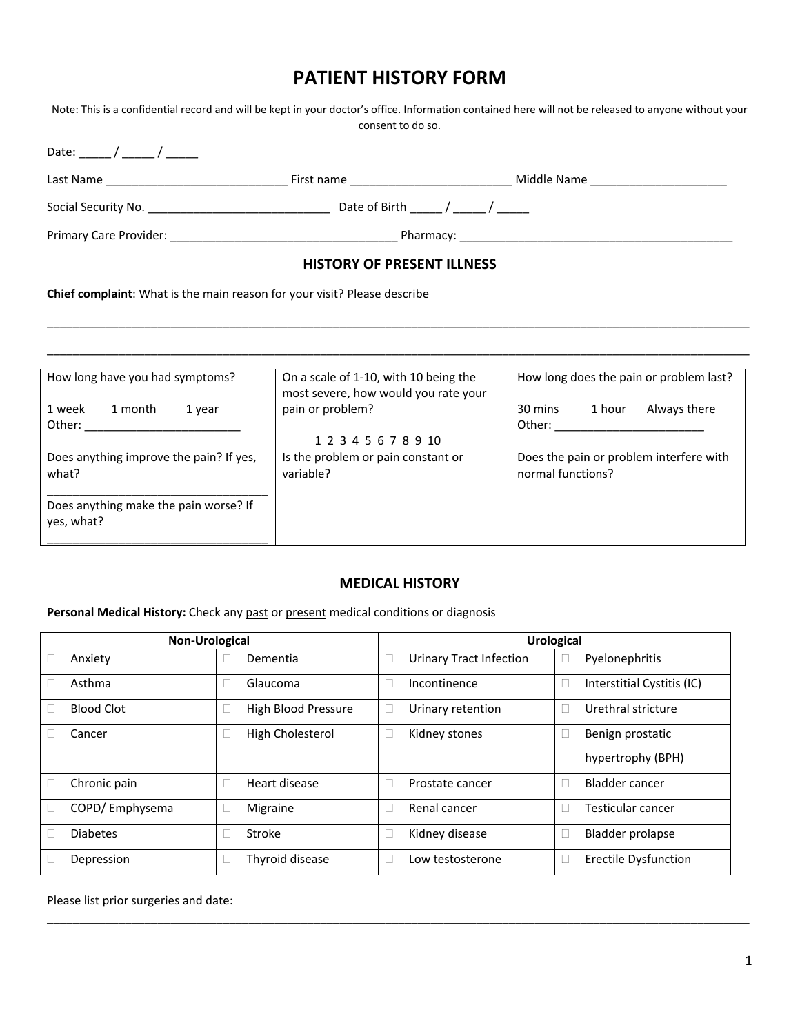# **PATIENT HISTORY FORM**

Note: This is a confidential record and will be kept in your doctor's office. Information contained here will not be released to anyone without your consent to do so.

| Date: _____/ _____/ ______            |                                      |                                  |
|---------------------------------------|--------------------------------------|----------------------------------|
| Last Name ___________________________ | First name _____________________     | Middle Name ____________________ |
| Social Security No.                   | Date of Birth _____ / _____ / ______ |                                  |
| Primary Care Provider:                |                                      |                                  |

#### **HISTORY OF PRESENT ILLNESS**

\_\_\_\_\_\_\_\_\_\_\_\_\_\_\_\_\_\_\_\_\_\_\_\_\_\_\_\_\_\_\_\_\_\_\_\_\_\_\_\_\_\_\_\_\_\_\_\_\_\_\_\_\_\_\_\_\_\_\_\_\_\_\_\_\_\_\_\_\_\_\_\_\_\_\_\_\_\_\_\_\_\_\_\_\_\_\_\_\_\_\_\_\_\_\_\_\_\_\_\_\_\_\_\_\_\_\_\_

\_\_\_\_\_\_\_\_\_\_\_\_\_\_\_\_\_\_\_\_\_\_\_\_\_\_\_\_\_\_\_\_\_\_\_\_\_\_\_\_\_\_\_\_\_\_\_\_\_\_\_\_\_\_\_\_\_\_\_\_\_\_\_\_\_\_\_\_\_\_\_\_\_\_\_\_\_\_\_\_\_\_\_\_\_\_\_\_\_\_\_\_\_\_\_\_\_\_\_\_\_\_\_\_\_\_\_\_

**Chief complaint**: What is the main reason for your visit? Please describe

| How long have you had symptoms?                     | On a scale of 1-10, with 10 being the<br>most severe, how would you rate your | How long does the pain or problem last?                      |  |  |
|-----------------------------------------------------|-------------------------------------------------------------------------------|--------------------------------------------------------------|--|--|
| 1 week<br>1 month<br>1 year<br>Other:               | pain or problem?<br>1 2 3 4 5 6 7 8 9 10                                      | Always there<br>30 mins<br>1 hour<br>Other:                  |  |  |
| Does anything improve the pain? If yes,<br>what?    | Is the problem or pain constant or<br>variable?                               | Does the pain or problem interfere with<br>normal functions? |  |  |
| Does anything make the pain worse? If<br>yes, what? |                                                                               |                                                              |  |  |

#### **MEDICAL HISTORY**

**Personal Medical History:** Check any past or present medical conditions or diagnosis

| <b>Non-Urological</b> |                   |  | <b>Urological</b>   |  |                         |  |                            |
|-----------------------|-------------------|--|---------------------|--|-------------------------|--|----------------------------|
|                       | Anxiety           |  | Dementia            |  | Urinary Tract Infection |  | Pyelonephritis             |
|                       | Asthma            |  | Glaucoma            |  | Incontinence            |  | Interstitial Cystitis (IC) |
|                       | <b>Blood Clot</b> |  | High Blood Pressure |  | Urinary retention       |  | Urethral stricture         |
|                       | Cancer            |  | High Cholesterol    |  | Kidney stones           |  | Benign prostatic           |
|                       |                   |  |                     |  |                         |  | hypertrophy (BPH)          |
|                       | Chronic pain      |  | Heart disease       |  | Prostate cancer         |  | <b>Bladder cancer</b>      |
|                       | COPD/Emphysema    |  | Migraine            |  | Renal cancer            |  | <b>Testicular cancer</b>   |
|                       | <b>Diabetes</b>   |  | Stroke              |  | Kidney disease          |  | <b>Bladder prolapse</b>    |
|                       | Depression        |  | Thyroid disease     |  | Low testosterone        |  | Erectile Dysfunction       |

\_\_\_\_\_\_\_\_\_\_\_\_\_\_\_\_\_\_\_\_\_\_\_\_\_\_\_\_\_\_\_\_\_\_\_\_\_\_\_\_\_\_\_\_\_\_\_\_\_\_\_\_\_\_\_\_\_\_\_\_\_\_\_\_\_\_\_\_\_\_\_\_\_\_\_\_\_\_\_\_\_\_\_\_\_\_\_\_\_\_\_\_\_\_\_\_\_\_\_\_\_\_\_\_\_\_\_\_

Please list prior surgeries and date: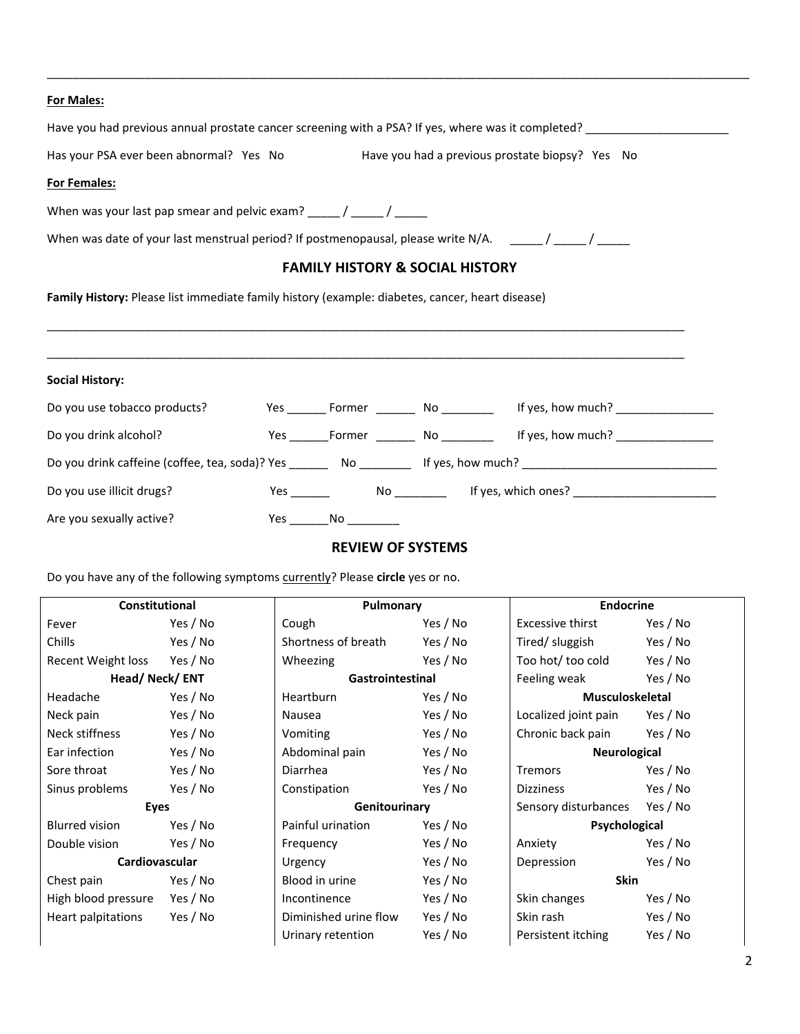| <b>For Males:</b>                                                                                                                                                                                                                                                                                                                                                              |                                            |                                                                                  |
|--------------------------------------------------------------------------------------------------------------------------------------------------------------------------------------------------------------------------------------------------------------------------------------------------------------------------------------------------------------------------------|--------------------------------------------|----------------------------------------------------------------------------------|
|                                                                                                                                                                                                                                                                                                                                                                                |                                            |                                                                                  |
| Has your PSA ever been abnormal? Yes No                                                                                                                                                                                                                                                                                                                                        |                                            | Have you had a previous prostate biopsy? Yes No                                  |
| <b>For Females:</b>                                                                                                                                                                                                                                                                                                                                                            |                                            |                                                                                  |
| When was your last pap smear and pelvic exam? $\frac{1}{\frac{1}{1-\frac{1}{1-\frac{1}{1-\frac{1}{1-\frac{1}{1-\frac{1}{1-\frac{1}{1-\frac{1}{1-\frac{1}{1-\frac{1}{1-\frac{1}{1-\frac{1}{1-\frac{1}{1-\frac{1}{1-\frac{1}{1-\frac{1}{1-\frac{1}{1-\frac{1}{1-\frac{1}{1-\frac{1}{1-\frac{1}{1-\frac{1}{1-\frac{1}{1-\frac{1}{1-\frac{1}{1-\frac{1}{1-\frac{1}{1-\frac{1}{1-\$ |                                            |                                                                                  |
| When was date of your last menstrual period? If postmenopausal, please write N/A. $\frac{1}{1-\frac{1}{2-\frac{1}{2-\frac{1}{2-\frac{1}{2-\frac{1}{2-\frac{1}{2-\frac{1}{2-\frac{1}{2-\frac{1}{2-\frac{1}{2-\frac{1}{2-\frac{1}{2-\frac{1}{2-\frac{1}{2-\frac{1}{2-\frac{1}{2-\frac{1}{2-\frac{1}{2-\frac{1}{2-\frac{1}{2-\frac{1}{2-\frac{1}{2$                               |                                            |                                                                                  |
|                                                                                                                                                                                                                                                                                                                                                                                | <b>FAMILY HISTORY &amp; SOCIAL HISTORY</b> |                                                                                  |
| <b>Family History:</b> Please list immediate family history (example: diabetes, cancer, heart disease)                                                                                                                                                                                                                                                                         |                                            |                                                                                  |
| <b>Social History:</b>                                                                                                                                                                                                                                                                                                                                                         |                                            |                                                                                  |
| Do you use tobacco products?                                                                                                                                                                                                                                                                                                                                                   |                                            | Yes ________ Former __________ No ______________ If yes, how much? _____________ |
| Do you drink alcohol?                                                                                                                                                                                                                                                                                                                                                          |                                            |                                                                                  |
|                                                                                                                                                                                                                                                                                                                                                                                |                                            |                                                                                  |
| Do you use illicit drugs?                                                                                                                                                                                                                                                                                                                                                      |                                            |                                                                                  |
| Are you sexually active?                                                                                                                                                                                                                                                                                                                                                       |                                            |                                                                                  |

\_\_\_\_\_\_\_\_\_\_\_\_\_\_\_\_\_\_\_\_\_\_\_\_\_\_\_\_\_\_\_\_\_\_\_\_\_\_\_\_\_\_\_\_\_\_\_\_\_\_\_\_\_\_\_\_\_\_\_\_\_\_\_\_\_\_\_\_\_\_\_\_\_\_\_\_\_\_\_\_\_\_\_\_\_\_\_\_\_\_\_\_\_\_\_\_\_\_\_\_\_\_\_\_\_\_\_\_

### **REVIEW OF SYSTEMS**

Do you have any of the following symptoms currently? Please **circle** yes or no.

| <b>Constitutional</b> |          | Pulmonary             |          | <b>Endocrine</b>                 |          |  |
|-----------------------|----------|-----------------------|----------|----------------------------------|----------|--|
| Fever                 | Yes / No | Cough                 | Yes / No | Excessive thirst                 | Yes / No |  |
| Chills                | Yes / No | Shortness of breath   | Yes / No | Tired/sluggish                   | Yes / No |  |
| Recent Weight loss    | Yes / No | Wheezing              | Yes / No | Too hot/ too cold                | Yes / No |  |
| Head/Neck/ENT         |          | Gastrointestinal      |          | Feeling weak                     | Yes / No |  |
| Headache              | Yes / No | Heartburn             | Yes / No | <b>Musculoskeletal</b>           |          |  |
| Neck pain             | Yes / No | Nausea                | Yes / No | Localized joint pain             | Yes / No |  |
| Neck stiffness        | Yes / No | Vomiting              | Yes / No | Chronic back pain                | Yes / No |  |
| Ear infection         | Yes / No | Abdominal pain        | Yes / No | <b>Neurological</b>              |          |  |
| Sore throat           | Yes / No | Diarrhea              | Yes / No | <b>Tremors</b>                   | Yes / No |  |
| Sinus problems        | Yes / No | Constipation          | Yes / No | Dizziness                        | Yes / No |  |
| Eyes                  |          | Genitourinary         |          | Sensory disturbances<br>Yes / No |          |  |
| Blurred vision        | Yes / No | Painful urination     | Yes / No | Psychological                    |          |  |
| Double vision         | Yes / No | Frequency             | Yes / No | Anxiety                          | Yes / No |  |
| <b>Cardiovascular</b> |          | Urgency               | Yes / No | Depression                       | Yes / No |  |
| Chest pain            | Yes / No | Blood in urine        | Yes / No | <b>Skin</b>                      |          |  |
| High blood pressure   | Yes / No | Incontinence          | Yes / No | Skin changes                     | Yes / No |  |
| Heart palpitations    | Yes / No | Diminished urine flow | Yes / No | Skin rash                        | Yes / No |  |
|                       |          | Urinary retention     | Yes / No | Persistent itching               | Yes / No |  |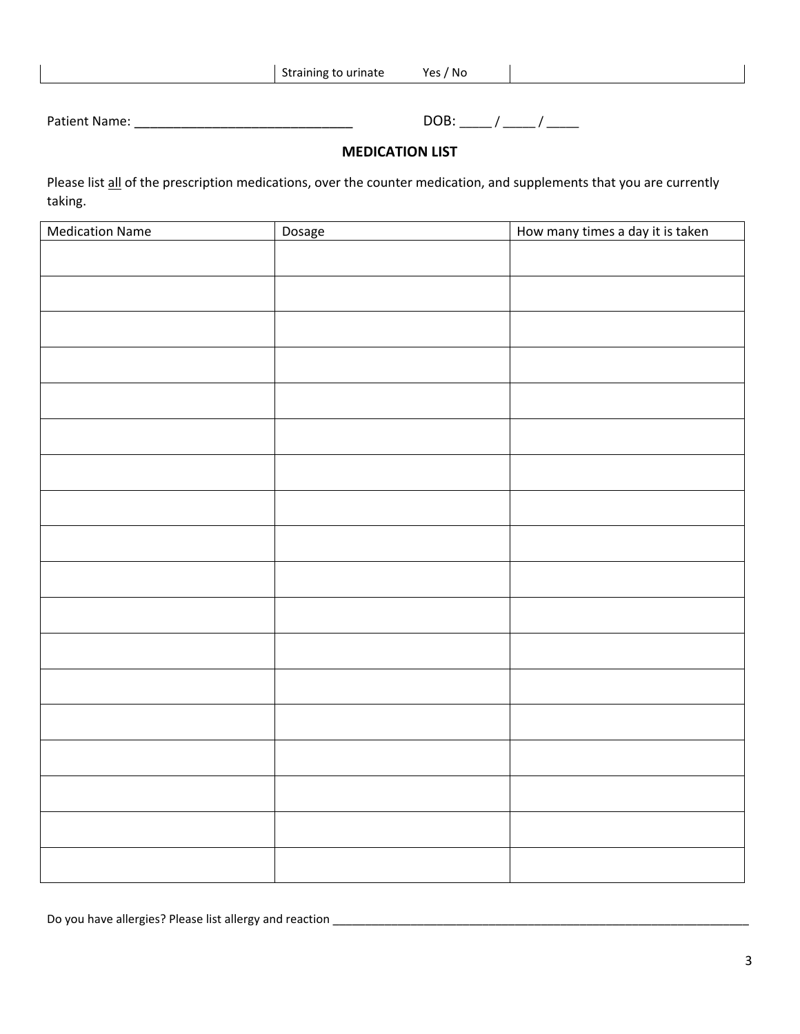|  | - -<br>Straining to urinate | Yes<br><b>No</b> |  |
|--|-----------------------------|------------------|--|
|--|-----------------------------|------------------|--|

Patient Name: \_\_\_\_\_\_\_\_\_\_\_\_\_\_\_\_\_\_\_\_\_\_\_\_\_\_\_\_ DOB: \_\_\_\_\_ / \_\_\_\_\_ / \_\_\_\_\_

## **MEDICATION LIST**

Please list all of the prescription medications, over the counter medication, and supplements that you are currently taking.

| <b>Medication Name</b> | Dosage | How many times a day it is taken |
|------------------------|--------|----------------------------------|
|                        |        |                                  |
|                        |        |                                  |
|                        |        |                                  |
|                        |        |                                  |
|                        |        |                                  |
|                        |        |                                  |
|                        |        |                                  |
|                        |        |                                  |
|                        |        |                                  |
|                        |        |                                  |
|                        |        |                                  |
|                        |        |                                  |
|                        |        |                                  |
|                        |        |                                  |
|                        |        |                                  |
|                        |        |                                  |
|                        |        |                                  |
|                        |        |                                  |
|                        |        |                                  |
|                        |        |                                  |
|                        |        |                                  |
|                        |        |                                  |
|                        |        |                                  |
|                        |        |                                  |
|                        |        |                                  |
|                        |        |                                  |
|                        |        |                                  |